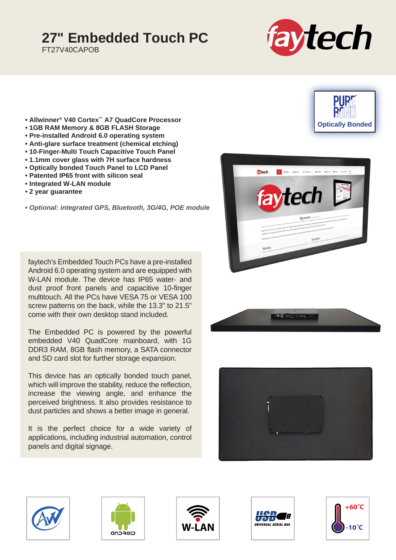## **27" Embedded Touch PC**

FT27V40CAPOB



**Optically Bonded**

- **Allwinner® V40 Cortex™ A7 QuadCore Processor**
- **1GB RAM Memory & 8GB FLASH Storage**
- **Pre-installed Android 6.0 operating system**
- **Anti-glare surface treatment (chemical etching)**
- **10-Finger-Multi Touch Capacitive Touch Panel**
- **1.1mm cover glass with 7H surface hardness**
- **Optically bonded Touch Panel to LCD Panel**
- **Patented IP65 front with silicon seal**
- **Integrated W-LAN module**
- **2 year guarantee**

**•** *Optional: integrated GPS, Bluetooth, 3G/4G, POE module*

faytech's Embedded Touch PCs have a pre-installed Android 6.0 operating system and are equipped with W-LAN module. The device has IP65 water- and dust proof front panels and capacitive 10-finger multitouch. All the PCs have VESA 75 or VESA 100 screw patterns on the back, while the 13.3" to 21.5" come with their own desktop stand included.

The Embedded PC is powered by the powerful embedded V40 QuadCore mainboard, with 1G DDR3 RAM, 8GB flash memory, a SATA connector and SD card slot for further storage expansion.

This device has an optically bonded touch panel, which will improve the stability, reduce the reflection, increase the viewing angle, and enhance the perceived brightness. It also provides resistance to dust particles and shows a better image in general.

It is the perfect choice for a wide variety of applications, including industrial automation, control panels and digital signage.